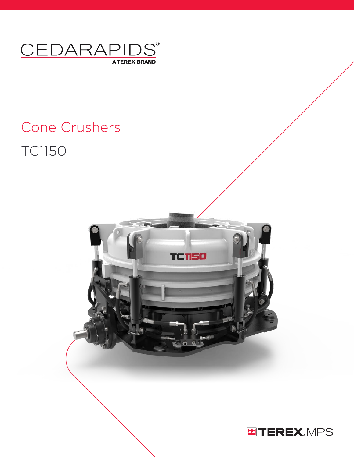

# Cone Crushers TC1150



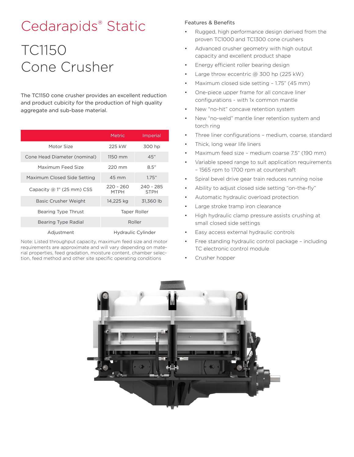## Cedarapids® Static

## TC1150 Cone Crusher

The TC1150 cone crusher provides an excellent reduction and product cubicity for the production of high quality aggregate and sub-base material.

|                              | <b>Metric</b>              | Imperial                   |
|------------------------------|----------------------------|----------------------------|
| Motor Size                   | 225 kW                     | 300 hp                     |
| Cone Head Diameter (nominal) | 1150 mm                    | 45"                        |
| Maximum Feed Size            | $220 \text{ mm}$           | 8.5"                       |
| Maximum Closed Side Setting  | 45 mm                      | 1.75"                      |
| Capacity $@1"$ (25 mm) CSS   | $220 - 260$<br><b>MTPH</b> | $240 - 285$<br><b>STPH</b> |
| Basic Crusher Weight         | 14,225 kg                  | 31,360 lb                  |
| Bearing Type Thrust          | Taper Roller               |                            |
| Bearing Type Radial          | Roller                     |                            |
| Adjustment                   | Hydraulic Cylinder         |                            |

Note: Listed throughput capacity, maximum feed size and motor requirements are approximate and will vary depending on material properties, feed gradation, moisture content, chamber selection, feed method and other site specific operating conditions

### Features & Benefits

- Rugged, high performance design derived from the proven TC1000 and TC1300 cone crushers
- Advanced crusher geometry with high output capacity and excellent product shape
- Energy efficient roller bearing design
- Large throw eccentric @ 300 hp (225 kW)
- Maximum closed side setting 1.75" (45 mm)
- One-piece upper frame for all concave liner configurations - with 1x common mantle
- New "no-hit" concave retention system
- New "no-weld" mantle liner retention system and torch ring
- Three liner configurations medium, coarse, standard
- Thick, long wear life liners
- Maximum feed size medium coarse 7.5" (190 mm)
- Variable speed range to suit application requirements – 1565 rpm to 1700 rpm at countershaft
- Spiral bevel drive gear train reduces running noise
- Ability to adjust closed side setting "on-the-fly"
- Automatic hydraulic overload protection
- Large stroke tramp iron clearance
- High hydraulic clamp pressure assists crushing at small closed side settings
- Easy access external hydraulic controls
- Free standing hydraulic control package including TC electronic control module
- Crusher hopper

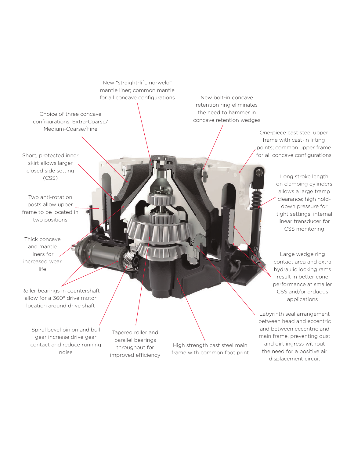New "straight-lift, no-weld" mantle liner; common mantle for all concave configurations

Choice of three concave configurations: Extra-Coarse/ Medium-Coarse/Fine

Short, protected inner skirt allows larger closed side setting (CSS)

Two anti-rotation posts allow upper frame to be located in two positions

Thick concave and mantle liners for increased wear life

Roller bearings in countershaft allow for a 360º drive motor location around drive shaft

> Spiral bevel pinion and bull gear increase drive gear contact and reduce running noise

Tapered roller and parallel bearings throughout for improved efficiency

High strength cast steel main frame with common foot print

New bolt-in concave retention ring eliminates the need to hammer in concave retention wedges

> One-piece cast steel upper frame with cast-in lifting points; common upper frame for all concave configurations

> > Long stroke length on clamping cylinders allows a large tramp clearance; high holddown pressure for tight settings; internal linear transducer for CSS monitoring

Large wedge ring contact area and extra hydraulic locking rams result in better cone performance at smaller CSS and/or arduous applications

Labyrinth seal arrangement between head and eccentric and between eccentric and main frame, preventing dust and dirt ingress without the need for a positive air displacement circuit